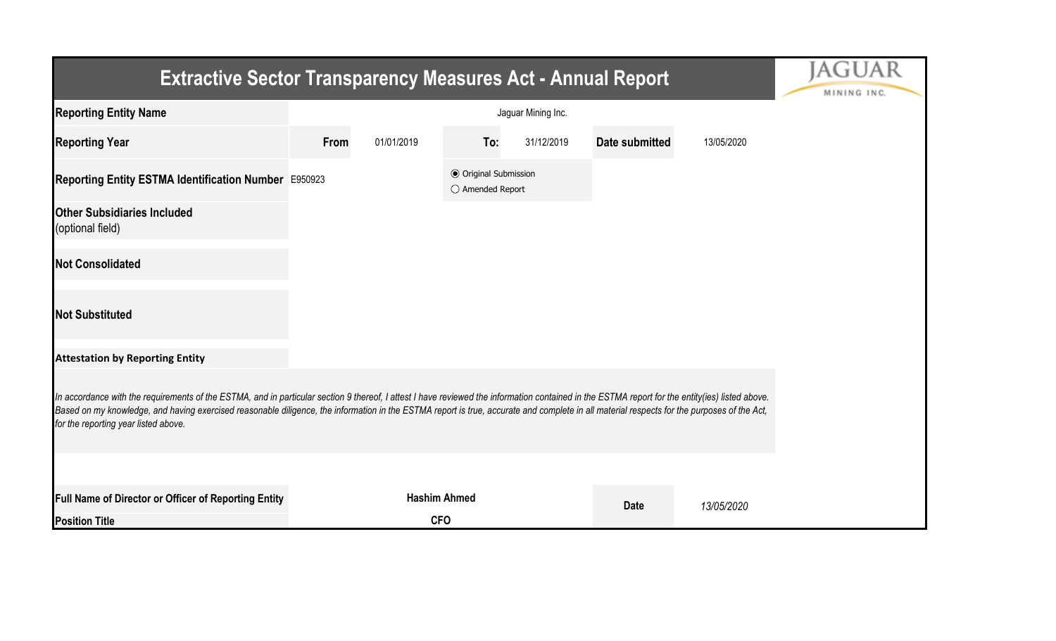| Extractive Sector Transparency Measures Act - Annual Report                                                                                                                                                                                                                                                                                                                                                                           |                    |                     |                                           |            |                |            |  |  |  |  |
|---------------------------------------------------------------------------------------------------------------------------------------------------------------------------------------------------------------------------------------------------------------------------------------------------------------------------------------------------------------------------------------------------------------------------------------|--------------------|---------------------|-------------------------------------------|------------|----------------|------------|--|--|--|--|
| <b>Reporting Entity Name</b>                                                                                                                                                                                                                                                                                                                                                                                                          | Jaguar Mining Inc. |                     |                                           |            |                |            |  |  |  |  |
| <b>Reporting Year</b>                                                                                                                                                                                                                                                                                                                                                                                                                 | From               | 01/01/2019          | To:                                       | 31/12/2019 | Date submitted | 13/05/2020 |  |  |  |  |
| Reporting Entity ESTMA Identification Number E950923                                                                                                                                                                                                                                                                                                                                                                                  |                    |                     | ● Original Submission<br>○ Amended Report |            |                |            |  |  |  |  |
| <b>Other Subsidiaries Included</b><br>(optional field)                                                                                                                                                                                                                                                                                                                                                                                |                    |                     |                                           |            |                |            |  |  |  |  |
| <b>Not Consolidated</b>                                                                                                                                                                                                                                                                                                                                                                                                               |                    |                     |                                           |            |                |            |  |  |  |  |
| <b>Not Substituted</b>                                                                                                                                                                                                                                                                                                                                                                                                                |                    |                     |                                           |            |                |            |  |  |  |  |
| <b>Attestation by Reporting Entity</b>                                                                                                                                                                                                                                                                                                                                                                                                |                    |                     |                                           |            |                |            |  |  |  |  |
| In accordance with the requirements of the ESTMA, and in particular section 9 thereof, I attest I have reviewed the information contained in the ESTMA report for the entity(ies) listed above.<br>Based on my knowledge, and having exercised reasonable diligence, the information in the ESTMA report is true, accurate and complete in all material respects for the purposes of the Act,<br>for the reporting year listed above. |                    |                     |                                           |            |                |            |  |  |  |  |
|                                                                                                                                                                                                                                                                                                                                                                                                                                       |                    |                     |                                           |            |                |            |  |  |  |  |
| Full Name of Director or Officer of Reporting Entity                                                                                                                                                                                                                                                                                                                                                                                  |                    | <b>Hashim Ahmed</b> |                                           |            | <b>Date</b>    | 13/05/2020 |  |  |  |  |
| <b>Position Title</b>                                                                                                                                                                                                                                                                                                                                                                                                                 |                    | <b>CFO</b>          |                                           |            |                |            |  |  |  |  |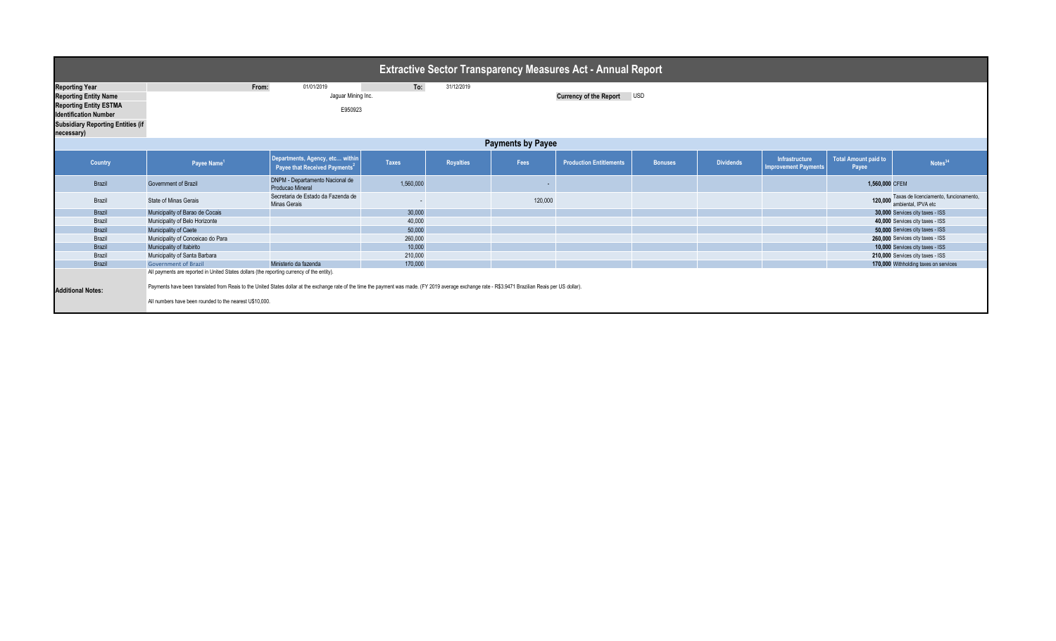| <b>Extractive Sector Transparency Measures Act - Annual Report</b> |                                                                                                                                                                                                                                                                                                                                                                 |                                                                              |              |                  |         |                                |                |                  |                                               |                                      |                                                                        |  |
|--------------------------------------------------------------------|-----------------------------------------------------------------------------------------------------------------------------------------------------------------------------------------------------------------------------------------------------------------------------------------------------------------------------------------------------------------|------------------------------------------------------------------------------|--------------|------------------|---------|--------------------------------|----------------|------------------|-----------------------------------------------|--------------------------------------|------------------------------------------------------------------------|--|
| <b>Reporting Year</b>                                              | From:                                                                                                                                                                                                                                                                                                                                                           | 01/01/2019                                                                   | To:          | 31/12/2019       |         |                                |                |                  |                                               |                                      |                                                                        |  |
| <b>Reporting Entity Name</b>                                       |                                                                                                                                                                                                                                                                                                                                                                 | Jaguar Mining Inc.                                                           |              |                  |         | Currency of the Report USD     |                |                  |                                               |                                      |                                                                        |  |
| <b>Reporting Entity ESTMA</b>                                      |                                                                                                                                                                                                                                                                                                                                                                 |                                                                              |              |                  |         |                                |                |                  |                                               |                                      |                                                                        |  |
| <b>Identification Number</b>                                       | E950923                                                                                                                                                                                                                                                                                                                                                         |                                                                              |              |                  |         |                                |                |                  |                                               |                                      |                                                                        |  |
| <b>Subsidiary Reporting Entities (if</b><br>necessary)             |                                                                                                                                                                                                                                                                                                                                                                 |                                                                              |              |                  |         |                                |                |                  |                                               |                                      |                                                                        |  |
| <b>Payments by Payee</b>                                           |                                                                                                                                                                                                                                                                                                                                                                 |                                                                              |              |                  |         |                                |                |                  |                                               |                                      |                                                                        |  |
| <b>Country</b>                                                     | Payee Name <sup>1</sup>                                                                                                                                                                                                                                                                                                                                         | Departments, Agency, etc within<br>Payee that Received Payments <sup>2</sup> | <b>Taxes</b> | <b>Royalties</b> | Fees    | <b>Production Entitlements</b> | <b>Bonuses</b> | <b>Dividends</b> | Infrastructure<br><b>Improvement Payments</b> | <b>Total Amount paid to</b><br>Payee | Notes <sup>34</sup>                                                    |  |
| Brazil                                                             | Government of Brazil                                                                                                                                                                                                                                                                                                                                            | DNPM - Departamento Nacional de<br>Producao Mineral                          | 1,560,000    |                  |         |                                |                |                  |                                               | 1,560,000 CFEM                       |                                                                        |  |
| Brazil                                                             | <b>State of Minas Gerais</b>                                                                                                                                                                                                                                                                                                                                    | Secretaria de Estado da Fazenda de<br><b>Minas Gerais</b>                    | $\sim$       |                  | 120,000 |                                |                |                  |                                               |                                      | 120,000 Taxas de licenciamento, funcionamento,<br>ambiental. IPVA etc. |  |
| Brazil                                                             | Municipality of Barao de Cocais                                                                                                                                                                                                                                                                                                                                 |                                                                              | 30,000       |                  |         |                                |                |                  |                                               |                                      | 30,000 Services city taxes - ISS                                       |  |
| Brazil                                                             | Municipality of Belo Horizonte                                                                                                                                                                                                                                                                                                                                  |                                                                              | 40,000       |                  |         |                                |                |                  |                                               |                                      | 40.000 Services city taxes - ISS                                       |  |
| Brazil                                                             | Municipality of Caete                                                                                                                                                                                                                                                                                                                                           |                                                                              | 50,000       |                  |         |                                |                |                  |                                               |                                      | 50,000 Services city taxes - ISS                                       |  |
| Brazil                                                             | Municipality of Conceicao do Para                                                                                                                                                                                                                                                                                                                               |                                                                              | 260,000      |                  |         |                                |                |                  |                                               |                                      | 260,000 Services city taxes - ISS                                      |  |
| Brazil                                                             | Municipality of Itabirito                                                                                                                                                                                                                                                                                                                                       |                                                                              | 10,000       |                  |         |                                |                |                  |                                               |                                      | 10,000 Services city taxes - ISS                                       |  |
| Brazil                                                             | Municipality of Santa Barbara                                                                                                                                                                                                                                                                                                                                   |                                                                              | 210,000      |                  |         |                                |                |                  |                                               |                                      | 210,000 Services city taxes - ISS                                      |  |
| Brazil                                                             | <b>Government of Brazil</b>                                                                                                                                                                                                                                                                                                                                     | Ministerio da fazenda                                                        | 170,000      |                  |         |                                |                |                  |                                               |                                      | 170,000 Withholding taxes on services                                  |  |
| <b>Additional Notes:</b>                                           | All payments are reported in United States dollars (the reporting currency of the entity).<br>Payments have been translated from Reais to the United States dollar at the exchange rate of the time the payment was made. (FY 2019 average exchange rate - R\$3.9471 Brazilian Reais per US dollar).<br>All numbers have been rounded to the nearest U\$10,000. |                                                                              |              |                  |         |                                |                |                  |                                               |                                      |                                                                        |  |